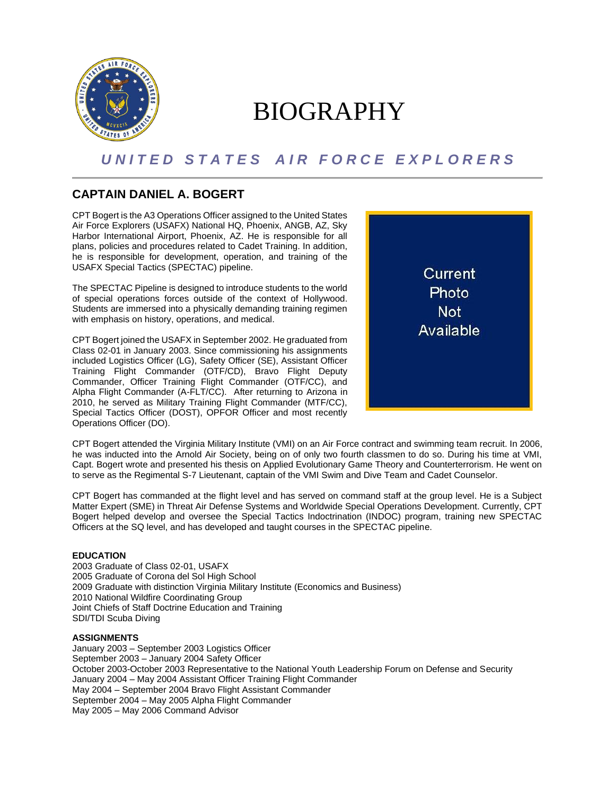

# BIOGRAPHY

## *U N I T E D S T A T E S A I R F O R C E E X P L O R E R S*

### **CAPTAIN DANIEL A. BOGERT**

CPT Bogert is the A3 Operations Officer assigned to the United States Air Force Explorers (USAFX) National HQ, Phoenix, ANGB, AZ, Sky Harbor International Airport, Phoenix, AZ. He is responsible for all plans, policies and procedures related to Cadet Training. In addition, he is responsible for development, operation, and training of the USAFX Special Tactics (SPECTAC) pipeline.

The SPECTAC Pipeline is designed to introduce students to the world of special operations forces outside of the context of Hollywood. Students are immersed into a physically demanding training regimen with emphasis on history, operations, and medical.

CPT Bogert joined the USAFX in September 2002. He graduated from Class 02-01 in January 2003. Since commissioning his assignments included Logistics Officer (LG), Safety Officer (SE), Assistant Officer Training Flight Commander (OTF/CD), Bravo Flight Deputy Commander, Officer Training Flight Commander (OTF/CC), and Alpha Flight Commander (A-FLT/CC). After returning to Arizona in 2010, he served as Military Training Flight Commander (MTF/CC), Special Tactics Officer (DOST), OPFOR Officer and most recently Operations Officer (DO).



CPT Bogert attended the Virginia Military Institute (VMI) on an Air Force contract and swimming team recruit. In 2006, he was inducted into the Arnold Air Society, being on of only two fourth classmen to do so. During his time at VMI, Capt. Bogert wrote and presented his thesis on Applied Evolutionary Game Theory and Counterterrorism. He went on to serve as the Regimental S-7 Lieutenant, captain of the VMI Swim and Dive Team and Cadet Counselor.

CPT Bogert has commanded at the flight level and has served on command staff at the group level. He is a Subject Matter Expert (SME) in Threat Air Defense Systems and Worldwide Special Operations Development. Currently, CPT Bogert helped develop and oversee the Special Tactics Indoctrination (INDOC) program, training new SPECTAC Officers at the SQ level, and has developed and taught courses in the SPECTAC pipeline.

#### **EDUCATION**

2003 Graduate of Class 02-01, USAFX 2005 Graduate of Corona del Sol High School 2009 Graduate with distinction Virginia Military Institute (Economics and Business) 2010 National Wildfire Coordinating Group Joint Chiefs of Staff Doctrine Education and Training SDI/TDI Scuba Diving

#### **ASSIGNMENTS**

January 2003 – September 2003 Logistics Officer September 2003 – January 2004 Safety Officer October 2003-October 2003 Representative to the National Youth Leadership Forum on Defense and Security January 2004 – May 2004 Assistant Officer Training Flight Commander May 2004 – September 2004 Bravo Flight Assistant Commander September 2004 – May 2005 Alpha Flight Commander May 2005 – May 2006 Command Advisor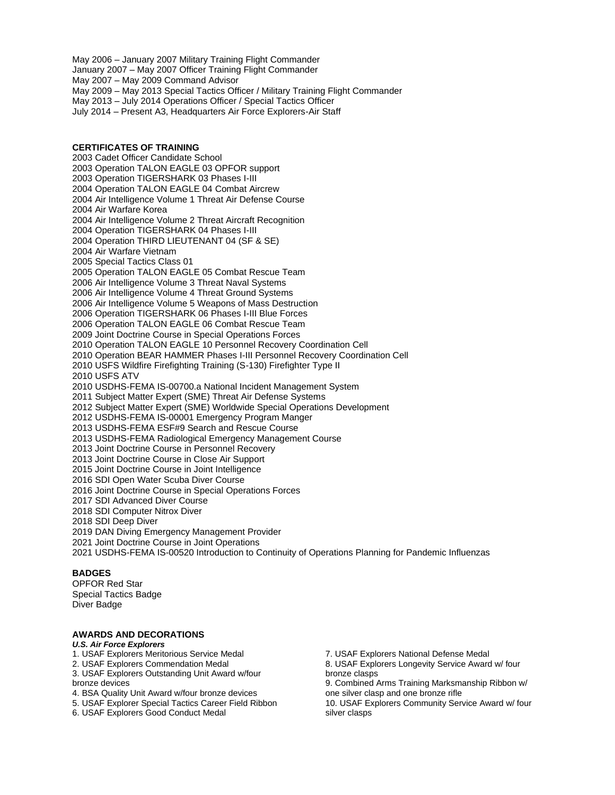May 2006 – January 2007 Military Training Flight Commander January 2007 – May 2007 Officer Training Flight Commander May 2007 – May 2009 Command Advisor May 2009 – May 2013 Special Tactics Officer / Military Training Flight Commander May 2013 – July 2014 Operations Officer / Special Tactics Officer July 2014 – Present A3, Headquarters Air Force Explorers-Air Staff

#### **CERTIFICATES OF TRAINING** 2003 Cadet Officer Candidate School 2003 Operation TALON EAGLE 03 OPFOR support 2003 Operation TIGERSHARK 03 Phases I-III 2004 Operation TALON EAGLE 04 Combat Aircrew 2004 Air Intelligence Volume 1 Threat Air Defense Course 2004 Air Warfare Korea 2004 Air Intelligence Volume 2 Threat Aircraft Recognition 2004 Operation TIGERSHARK 04 Phases I-III 2004 Operation THIRD LIEUTENANT 04 (SF & SE) 2004 Air Warfare Vietnam 2005 Special Tactics Class 01 2005 Operation TALON EAGLE 05 Combat Rescue Team 2006 Air Intelligence Volume 3 Threat Naval Systems 2006 Air Intelligence Volume 4 Threat Ground Systems 2006 Air Intelligence Volume 5 Weapons of Mass Destruction 2006 Operation TIGERSHARK 06 Phases I-III Blue Forces 2006 Operation TALON EAGLE 06 Combat Rescue Team 2009 Joint Doctrine Course in Special Operations Forces 2010 Operation TALON EAGLE 10 Personnel Recovery Coordination Cell 2010 Operation BEAR HAMMER Phases I-III Personnel Recovery Coordination Cell 2010 USFS Wildfire Firefighting Training (S-130) Firefighter Type II 2010 USFS ATV 2010 USDHS-FEMA IS-00700.a National Incident Management System 2011 Subject Matter Expert (SME) Threat Air Defense Systems 2012 Subject Matter Expert (SME) Worldwide Special Operations Development 2012 USDHS-FEMA IS-00001 Emergency Program Manger 2013 USDHS-FEMA ESF#9 Search and Rescue Course 2013 USDHS-FEMA Radiological Emergency Management Course 2013 Joint Doctrine Course in Personnel Recovery 2013 Joint Doctrine Course in Close Air Support 2015 Joint Doctrine Course in Joint Intelligence 2016 SDI Open Water Scuba Diver Course 2016 Joint Doctrine Course in Special Operations Forces 2017 SDI Advanced Diver Course 2018 SDI Computer Nitrox Diver 2018 SDI Deep Diver 2019 DAN Diving Emergency Management Provider 2021 Joint Doctrine Course in Joint Operations 2021 USDHS-FEMA IS-00520 Introduction to Continuity of Operations Planning for Pandemic Influenzas

#### **BADGES**

OPFOR Red Star Special Tactics Badge Diver Badge

#### **AWARDS AND DECORATIONS**

#### *U.S. Air Force Explorers*

1. USAF Explorers Meritorious Service Medal

2. USAF Explorers Commendation Medal

3. USAF Explorers Outstanding Unit Award w/four bronze devices

4. BSA Quality Unit Award w/four bronze devices

5. USAF Explorer Special Tactics Career Field Ribbon

6. USAF Explorers Good Conduct Medal

7. USAF Explorers National Defense Medal

8. USAF Explorers Longevity Service Award w/ four bronze clasps

9. Combined Arms Training Marksmanship Ribbon w/ one silver clasp and one bronze rifle

10. USAF Explorers Community Service Award w/ four silver clasps